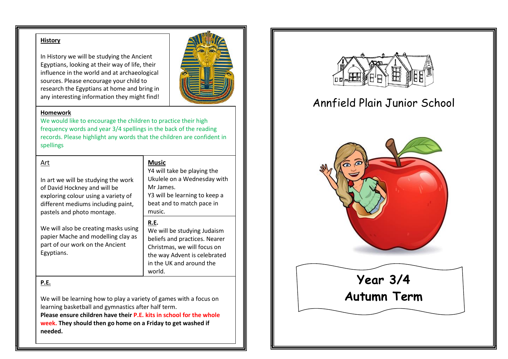#### **History**

In History we will be studying the Ancient Egyptians, looking at their way of life, their influence in the world and at archaeological sources. Please encourage your child to research the Egyptians at home and bring in any interesting information they might find!



#### **Homework**

We would like to encourage the children to practice their high frequency words and year 3/4 spellings in the back of the reading records. Please highlight any words that the children are confident in spellings

**Music**

Mr James.

music.

world.

**R.E.**

Y4 will take be playing the Ukulele on a Wednesday with

Y3 will be learning to keep a beat and to match pace in

We will be studying Judaism beliefs and practices. Nearer Christmas, we will focus on the way Advent is celebrated in the UK and around the

#### Art

In art we will be studying the work of David Hockney and will be exploring colour using a variety of different mediums including paint, pastels and photo montage.

We will also be creating masks using papier Mache and modelling clay as part of our work on the Ancient Egyptians.

**P.E.** 

We will be learning how to play a variety of games with a focus on learning basketball and gymnastics after half term.

**Please ensure children have their P.E. kits in school for the whole week. They should then go home on a Friday to get washed if needed.** 



# Annfield Plain Junior School